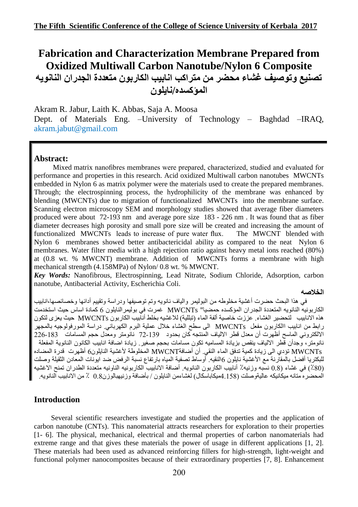# **Fabrication and Characterization Membrane Prepared from Oxidized Multiwall Carbon Nanotube/Nylon 6 Composite** تصنيع وتوصيف غشاء محضر من متراكب انابيب الكاربون متعددة الجدران النانويه **المؤكسذي/وايلون**

Akram R. Jabur, Laith K. Abbas, Saja A. Moosa Dept. of Materials Eng. –University of Technology – Baghdad –IRAQ[,](mailto:R.Jabur%20%20%20%20%20%20%20akram.jabut@gmail)  [akram.jabut@gmail.](mailto:R.Jabur%20%20%20%20%20%20%20akram.jabut@gmail)com

### **Abstract:**

Mixed matrix nanofibres membranes were prepared, characterized, studied and evaluated for performance and properties in this research. Acid oxidized Multiwall carbon nanotubes MWCNTs embedded in Nylon 6 as matrix polymer were the materials used to create the prepared membranes. Through; the electrospinning process, the hydrophilicity of the membrane was enhanced by blending (MWCNTs) due to migration of functionalized MWCNTs into the membrane surface. Scanning electron microscopy SEM and morphology studies showed that average fiber diameters produced were about 72-193 nm and average pore size 183 - 226 nm . It was found that as fiber diameter decreases high porosity and small pore size will be created and increasing the amount of functionalized MWCNTs leads to increase of pure water flux. The MWCNT blended with Nylon 6 membranes showed better antibactericidal ability as compared to the neat Nylon 6 membranes. Water filter media with a high rejection ratio against heavy metal ions reached (80%) at (0.8 wt. % MWCNT) membrane. Addition of MWCNTs forms a membrane with high mechanical strength (4.158MPa) of Nylon/ 0.8 wt. % MWCNT.

*Key Words:* Nanofibrous, Electrospinning, Lead Nitrate, Sodium Chloride, Adsorption, carbon nanotube, Antibacterial Activity, Escherichia Coli.

#### **الخالصً**

في هذا البحث حضرت أغشية مخلوطه من البوليمر٬ والياف نانويه وتم توصيفها ودراسة وتقييم أدائها وخصائصها،انابيب الكاربونيه النانويه المتعددة الجدران المؤكسده حمضيا" MWCNTs غمرت في بوليمر النابلون 6 كمادة اساس حيث استخدمت ْهذِه الانابيب لتحضير الغشاء. عززت خاصية ألفة الماء (تبللية) للاغشيه بخلط أنابيب الكاربون MWCNTs حيث يعزي لتكون رابط من انابيب االكاربون مفعل MWCNTs الى سطح الغشاء خلال عملية البرم الكهربائي. دراسة المورفولوجيه بالمجهر الالكتروني الماسح أظهرت أن معذل قطر الالياف المُنتجه كان بحدود 139-72 نانومتر ومعدّل حجم المسامات 183-226 نانومتز، وجدأن قطر الالياف ينقص بزيادة المساميه تكون مسامات بحجم صغير. زيادة اضافة انابيب الكانون النانوية المفعلة MWCNTs تؤدي الى زيادة كمية تدفق الماء النقي أن أضافةMWCNT المخلوطة لأغشية النايلون6 أظهرت قدرة المضاده للبكتر يا أفضل بالمقارِ نه مع الأغشية نابلون 6النقيه. أوساط تصفية المياه بار تفاع نسبة الر فض ضد ايونات المعادن الثقيلة وصلت (80٪) في غشاء (0.8 نسبّه وزنبه⁄. أَنابيب الكاربون النانوبه أضافة الانابيب الكاربونيه الناونيه متعددة الطدر ان تمنح الاغشبه الُمحضرِ يحتانه ميكَانيكه عاليةوصلت (158 4ميكاباسكال) لغشاءمن النايلون / بأضافة وزنيهبالوزن0.8 ٪ من الانابيب النانويه

### **Introduction**

Several scientific researchers investigate and studied the properties and the application of carbon nanotube (CNTs). This nanomaterial attracts researchers for exploration to their properties [1- 6]. The physical, mechanical, electrical and thermal properties of carbon nanomaterials had extreme range and that gives these materials the power of usage in different applications [1, 2]. These materials had been used as advanced reinforcing fillers for high-strength, light-weight and functional polymer nanocomposites because of their extraordinary properties [7, 8]. Enhancement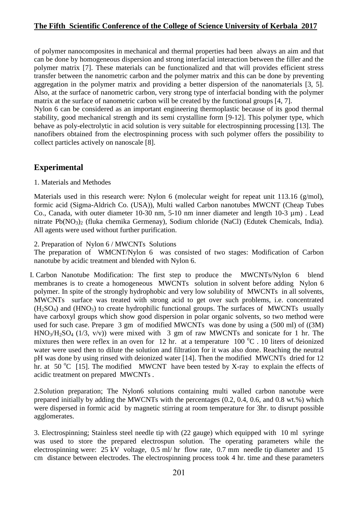of polymer nanocomposites in mechanical and thermal properties had been always an aim and that can be done by homogeneous dispersion and strong interfacial interaction between the filler and the polymer matrix [7]. These materials can be functionalized and that will provides efficient stress transfer between the nanometric carbon and the polymer matrix and this can be done by preventing aggregation in the polymer matrix and providing a better dispersion of the nanomaterials [3, 5]. Also, at the surface of nanometric carbon, very strong type of interfacial bonding with the polymer matrix at the surface of nanometric carbon will be created by the functional groups [4, 7].

Nylon 6 can be considered as an important engineering thermoplastic because of its good thermal stability, good mechanical strength and its semi crystalline form [9-12]. This polymer type, which behave as poly-electrolytic in acid solution is very suitable for electrospinning processing [13]. The nanofibers obtained from the electrospinning process with such polymer offers the possibility to collect particles actively on nanoscale [8].

### **Experimental**

1. Materials and Methodes

Materials used in this research were: Nylon 6 (molecular weight for repeat unit 113.16 (g/mol), formic acid (Sigma-Aldrich Co. (USA)), Multi walled Carbon nanotubes MWCNT (Cheap Tubes Co., Canada, with outer diameter 10-30 nm, 5-10 nm inner diameter and length 10-3 µm) . Lead nitrate  $Pb(NO_3)$  (fluka chemika Germenay), Sodium chloride (NaCl) (Edutek Chemicals, India). All agents were used without further purification.

2. Preparation of Nylon 6 / MWCNTs Solutions

The preparation of WMCNT/Nylon 6 was consisted of two stages: Modification of Carbon nanotube by acidic treatment and blended with Nylon 6.

I. Carbon Nanotube Modification: The first step to produce the MWCNTs/Nylon 6 blend membranes is to create a homogeneous MWCNTs solution in solvent before adding Nylon 6 polymer. In spite of the strongly hydrophobic and very low solubility of MWCNTs in all solvents, MWCNTs surface was treated with strong acid to get over such problems, i.e. concentrated  $(H<sub>2</sub>SO<sub>4</sub>)$  and  $(HNO<sub>3</sub>)$  to create hydrophilic functional groups. The surfaces of MWCNTs usually have carboxyl groups which show good dispersion in polar organic solvents, so two method were used for such case. Prepare 3 gm of modified MWCNTs was done by using a (500 ml) of ((3M)  $HNO<sub>3</sub>/H<sub>2</sub>SO<sub>4</sub>$  (1/3, v/v)) were mixed with 3 gm of raw MWCNTs and sonicate for 1 hr. The mixtures then were reflex in an oven for 12 hr. at a temperature  $100\degree C$ . 10 liters of deionized water were used then to dilute the solution and filtration for it was also done. Reaching the neutral pH was done by using rinsed with deionized water [14]. Then the modified MWCNTs dried for 12 hr. at 50  $^{\circ}$ C [15]. The modified MWCNT have been tested by X-ray to explain the effects of acidic treatment on prepared MWCNTs .

2.Solution preparation; The Nylon6 solutions containing multi walled carbon nanotube were prepared initially by adding the MWCNTs with the percentages (0.2, 0.4, 0.6, and 0.8 wt.%) which were dispersed in formic acid by magnetic stirring at room temperature for 3hr. to disrupt possible agglomerates.

3. Electrospinning; Stainless steel needle tip with (22 gauge) which equipped with 10 ml syringe was used to store the prepared electrospun solution. The operating parameters while the electrospinning were: 25 kV voltage, 0.5 ml/ hr flow rate, 0.7 mm needle tip diameter and 15 cm distance between electrodes. The electrospinning process took 4 hr. time and these parameters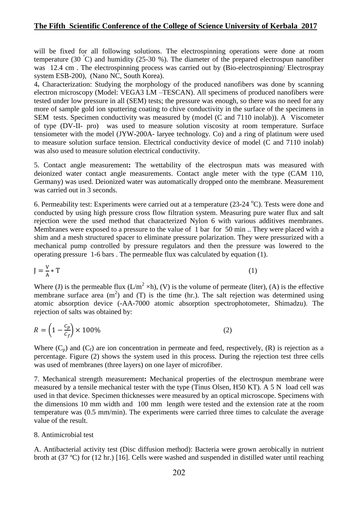will be fixed for all following solutions. The electrospinning operations were done at room temperature (30 °C) and humidity (25-30 %). The diameter of the prepared electrospun nanofiber was 12.4 cm . The electrospinning process was carried out by (Bio-electrospinning/ Electrospray system ESB-200), (Nano NC, South Korea).

4**.** Characterization: Studying the morphology of the produced nanofibers was done by scanning electron microscopy (Model: VEGA3 LM –TESCAN). All specimens of produced nanofibers were tested under low pressure in all (SEM) tests; the pressure was enough, so there was no need for any more of sample gold ion sputtering coating to chive conductivity in the surface of the specimens in SEM tests. Specimen conductivity was measured by (model (C and 7110 inolab)). A Viscometer of type (DV-II- pro) was used to measure solution viscosity at room temperature. Surface tensiometer with the model (JYW-200A- laryee technology. Co) and a ring of platinum were used to measure solution surface tension. Electrical conductivity device of model (C and 7110 inolab) was also used to measure solution electrical conductivity.

5. Contact angle measurement**:** The wettability of the electrospun mats was measured with deionized water contact angle measurements. Contact angle meter with the type (CAM 110, Germany) was used. Deionized water was automatically dropped onto the membrane. Measurement was carried out in 3 seconds.

6. Permeability test: Experiments were carried out at a temperature  $(23-24 \degree C)$ . Tests were done and conducted by using high pressure cross flow filtration system. Measuring pure water flux and salt rejection were the used method that characterized Nylon 6 with various additives membranes. Membranes were exposed to a pressure to the value of 1 bar for 50 min .. They were placed with a shim and a mesh structured spacer to eliminate pressure polarization. They were pressurized with a mechanical pump controlled by pressure regulators and then the pressure was lowered to the operating pressure 1-6 bars . The permeable flux was calculated by equation (1).

$$
J = \frac{V}{A} * T \tag{1}
$$

Where (J) is the permeable flux  $(L/m^2 \times h)$ , (V) is the volume of permeate (liter), (A) is the effective membrane surface area  $(m^2)$  and  $(T)$  is the time (hr.). The salt rejection was determined using atomic absorption device (-AA-7000 atomic absorption spectrophotometer, Shimadzu). The rejection of salts was obtained by:

$$
R = \left(1 - \frac{c_p}{c_f}\right) \times 100\%
$$
\n<sup>(2)</sup>

Where  $(C_p)$  and  $(C_f)$  are ion concentration in permeate and feed, respectively,  $(R)$  is rejection as a percentage. Figure (2) shows the system used in this process. During the rejection test three cells was used of membranes (three layers) on one layer of microfiber.

7. Mechanical strength measurement**:** Mechanical properties of the electrospun membrane were measured by a tensile mechanical tester with the type (Tinus Olsen, H50 KT). A 5 N load cell was used in that device. Specimen thicknesses were measured by an optical microscope. Specimens with the dimensions 10 mm width and 100 mm length were tested and the extension rate at the room temperature was (0.5 mm/min). The experiments were carried three times to calculate the average value of the result.

#### 8. Antimicrobial test

A. Antibacterial activity test (Disc diffusion method): Bacteria were grown aerobically in nutrient broth at (37 ºC) for (12 hr.) [16]. Cells were washed and suspended in distilled water until reaching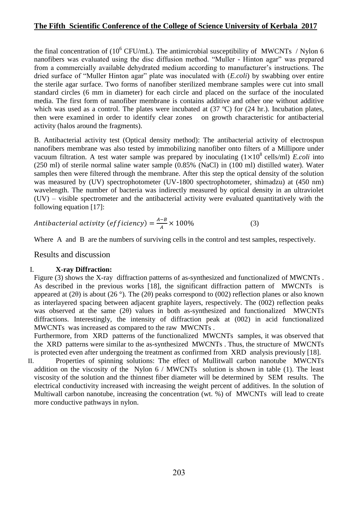the final concentration of  $(10^6 \text{ CFU/mL})$ . The antimicrobial susceptibility of MWCNTs / Nylon 6 nanofibers was evaluated using the disc diffusion method. "Muller - Hinton agar" was prepared from a commercially available dehydrated medium according to manufacturer's instructions. The dried surface of "Muller Hinton agar" plate was inoculated with (*E.coli*) by swabbing over entire the sterile agar surface. Two forms of nanofiber sterilized membrane samples were cut into small standard circles (6 mm in diameter) for each circle and placed on the surface of the inoculated media. The first form of nanofiber membrane is contains additive and other one without additive which was used as a control. The plates were incubated at  $(37 \text{ °C})$  for  $(24 \text{ hr.})$ . Incubation plates, then were examined in order to identify clear zones on growth characteristic for antibacterial activity (halos around the fragments).

B. Antibacterial activity test (Optical density method): The antibacterial activity of electrospun nanofibers membrane was also tested by immobilizing nanofiber onto filters of a Millipore under vacuum filtration. A test water sample was prepared by inoculating  $(1 \times 10^8 \text{ cells/ml})$  *E.coli* into (250 ml) of sterile normal saline water sample (0.85% (NaCl) in (100 ml) distilled water). Water samples then were filtered through the membrane. After this step the optical density of the solution was measured by (UV) spectrophotometer (UV-1800 spectrophotometer, shimadzu) at (450 nm) wavelength. The number of bacteria was indirectly measured by optical density in an ultraviolet (UV) – visible spectrometer and the antibacterial activity were evaluated quantitatively with the following equation [17]:

Antibacterial activity (efficiency) = 
$$
\frac{A-B}{A} \times 100\%
$$
 (3)

Where A and B are the numbers of surviving cells in the control and test samples, respectively.

Results and discussion

#### I. **X-ray Diffraction:**

Figure (3) shows the X-ray diffraction patterns of as-synthesized and functionalized of MWCNTs . As described in the previous works [18], the significant diffraction pattern of MWCNTs is appeared at (2 $\theta$ ) is about (26 $\degree$ ). The (2 $\theta$ ) peaks correspond to (002) reflection planes or also known as interlayered spacing between adjacent graphite layers, respectively. The (002) reflection peaks was observed at the same (2θ) values in both as-synthesized and functionalized MWCNTs diffractions. Interestingly, the intensity of diffraction peak at (002) in acid functionalized MWCNTs was increased as compared to the raw MWCNTs .

Furthermore, from XRD patterns of the functionalized MWCNTs samples, it was observed that the XRD patterns were similar to the as-synthesized MWCNTs . Thus, the structure of MWCNTs is protected even after undergoing the treatment as confirmed from XRD analysis previously [18].

II. Properties of spinning solutions: The effect of Mullitwall carbon nanotube MWCNTs addition on the viscosity of the Nylon 6 / MWCNTs solution is shown in table (1). The least viscosity of the solution and the thinnest fiber diameter will be determined by SEM results. The electrical conductivity increased with increasing the weight percent of additives. In the solution of Multiwall carbon nanotube, increasing the concentration (wt. %) of MWCNTs will lead to create more conductive pathways in nylon.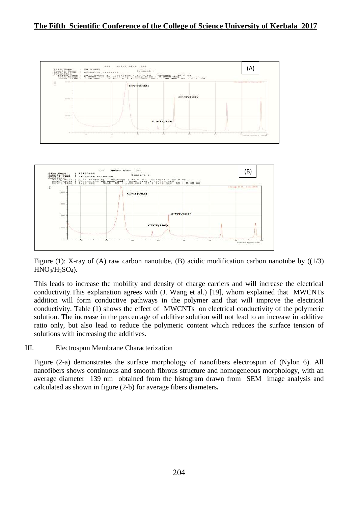

**CNT(100)** 

Figure (1): X-ray of (A) raw carbon nanotube, (B) acidic modification carbon nanotube by  $((1/3)$  $HNO<sub>3</sub>/H<sub>2</sub>SO<sub>4</sub>$ ).

This leads to increase the mobility and density of charge carriers and will increase the electrical conductivity.This explanation agrees with (J. Wang et al.) [19], whom explained that MWCNTs addition will form conductive pathways in the polymer and that will improve the electrical conductivity. Table (1) shows the effect of MWCNTs on electrical conductivity of the polymeric solution. The increase in the percentage of additive solution will not lead to an increase in additive ratio only, but also lead to reduce the polymeric content which reduces the surface tension of solutions with increasing the additives.

#### III. Electrospun Membrane Characterization

 $100$ 

Figure (2-a) demonstrates the surface morphology of nanofibers electrospun of (Nylon 6). All nanofibers shows continuous and smooth fibrous structure and homogeneous morphology, with an average diameter 139 nm obtained from the histogram drawn from SEM image analysis and calculated as shown in figure (2-b) for average fibers diameters**.**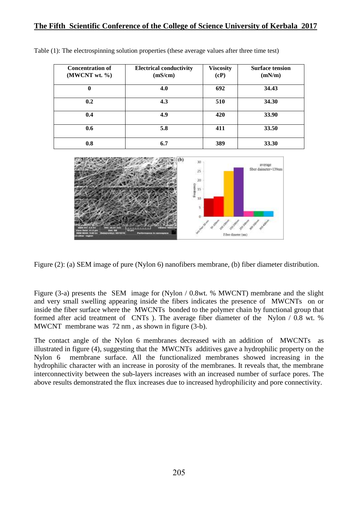| <b>Concentration of</b><br>(MWCNT wt. %) | <b>Electrical conductivity</b><br>(mS/cm) | <b>Viscosity</b><br>(cP) | <b>Surface tension</b><br>(mN/m) |
|------------------------------------------|-------------------------------------------|--------------------------|----------------------------------|
| 0                                        | 4.0                                       | 692                      | 34.43                            |
| 0.2                                      | 4.3                                       | 510                      | 34.30                            |
| 0.4                                      | 4.9                                       | 420                      | 33.90                            |
| 0.6                                      | 5.8                                       | 411                      | 33.50                            |
| 0.8                                      | 6.7                                       | 389                      | 33.30                            |

Table (1): The electrospinning solution properties (these average values after three time test)



Figure (2): (a) SEM image of pure (Nylon 6) nanofibers membrane, (b) fiber diameter distribution.

Figure (3-a) presents the SEM image for (Nylon / 0.8wt. % MWCNT) membrane and the slight and very small swelling appearing inside the fibers indicates the presence of MWCNTs on or inside the fiber surface where the MWCNTs bonded to the polymer chain by functional group that formed after acid treatment of CNTs ). The average fiber diameter of the Nylon / 0.8 wt. % MWCNT membrane was 72 nm , as shown in figure (3-b).

The contact angle of the Nylon 6 membranes decreased with an addition of MWCNTs as illustrated in figure (4), suggesting that the MWCNTs additives gave a hydrophilic property on the Nylon 6 membrane surface. All the functionalized membranes showed increasing in the hydrophilic character with an increase in porosity of the membranes. It reveals that, the membrane interconnectivity between the sub-layers increases with an increased number of surface pores. The above results demonstrated the flux increases due to increased hydrophilicity and pore connectivity.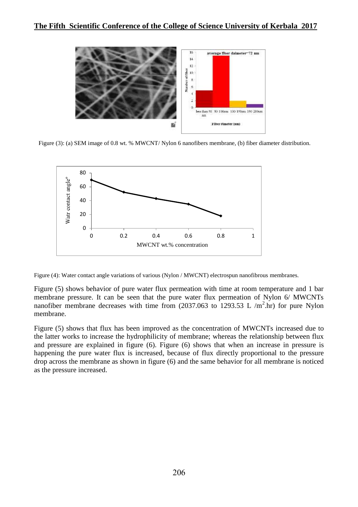

Figure (3): (a) SEM image of 0.8 wt. % MWCNT/ Nylon 6 nanofibers membrane, (b) fiber diameter distribution.



Figure (4): Water contact angle variations of various (Nylon / MWCNT) electrospun nanofibrous membranes.

Figure (5) shows behavior of pure water flux permeation with time at room temperature and 1 bar membrane pressure. It can be seen that the pure water flux permeation of Nylon 6/ MWCNTs nanofiber membrane decreases with time from  $(2037.063$  to 1293.53 L /m<sup>2</sup>.hr) for pure Nylon membrane.

Figure (5) shows that flux has been improved as the concentration of MWCNTs increased due to the latter works to increase the hydrophilicity of membrane; whereas the relationship between flux and pressure are explained in figure (6). Figure (6) shows that when an increase in pressure is happening the pure water flux is increased, because of flux directly proportional to the pressure drop across the membrane as shown in figure (6) and the same behavior for all membrane is noticed as the pressure increased.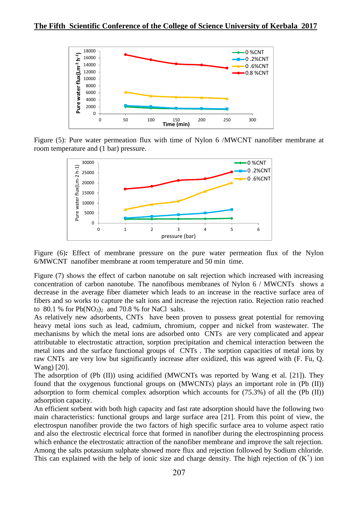

Figure (5): Pure water permeation flux with time of Nylon 6 /MWCNT nanofiber membrane at room temperature and (1 bar) pressure.



Figure (6): Effect of membrane pressure on the pure water permeation flux of the Nylon 6/MWCNT nanofiber membrane at room temperature and 50 min time.

Figure (7) shows the effect of carbon nanotube on salt rejection which increased with increasing concentration of carbon nanotube. The nanofibous membranes of Nylon 6 / MWCNTs shows a decrease in the average fiber diameter which leads to an increase in the reactive surface area of fibers and so works to capture the salt ions and increase the rejection ratio. Rejection ratio reached to 80.1 % for  $Pb(NO_3)$ <sub>2</sub> and 70.8 % for NaCl salts.

As relatively new adsorbents, CNTs have been proven to possess great potential for removing heavy metal ions such as lead, cadmium, chromium, copper and nickel from wastewater. The mechanisms by which the metal ions are adsorbed onto CNTs are very complicated and appear attributable to electrostatic attraction, sorption precipitation and chemical interaction between the metal ions and the surface functional groups of CNTs . The sorption capacities of metal ions by raw CNTs are very low but significantly increase after oxidized, this was agreed with (F. Fu, Q. Wang) [20].

The adsorption of (Pb (II)) using acidified (MWCNTs was reported by Wang et al. [21]). They found that the oxygenous functional groups on (MWCNTs) plays an important role in (Pb (II)) adsorption to form chemical complex adsorption which accounts for (75.3%) of all the (Pb (II)) adsorption capacity.

An efficient sorbent with both high capacity and fast rate adsorption should have the following two main characteristics: functional groups and large surface area [21]. From this point of view, the electrospun nanofiber provide the two factors of high specific surface area to volume aspect ratio and also the electrostic electrical force that formed in nanofiber during the electrospinning process which enhance the electrostatic attraction of the nanofiber membrane and improve the salt rejection. Among the salts potassium sulphate showed more flux and rejection followed by Sodium chloride. This can explained with the help of ionic size and charge density. The high rejection of  $(K^+)$  ion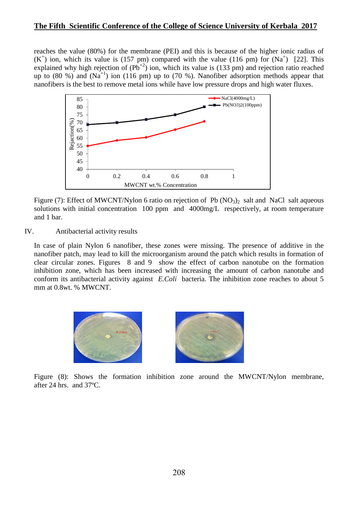reaches the value (80%) for the membrane (PEI) and this is because of the higher ionic radius of  $(K<sup>+</sup>)$  ion, which its value is (157 pm) compared with the value (116 pm) for  $(Na<sup>+</sup>)$  [22]. This explained why high rejection of  $(Pb^{+2})$  ion, which its value is (133 pm) and rejection ratio reached up to  $(80\%)$  and  $(Na^{+1})$  ion  $(116 \text{ pm})$  up to  $(70\%)$ . Nanofiber adsorption methods appear that nanofibers is the best to remove metal ions while have low pressure drops and high water fluxes.



Figure (7): Effect of MWCNT/Nylon 6 ratio on rejection of Pb  $(NO<sub>3</sub>)<sub>2</sub>$  salt and NaCl salt aqueous solutions with initial concentration 100 ppm and 4000mg/L respectively, at room temperature and 1 bar.

#### IV. Antibacterial activity results

In case of plain Nylon 6 nanofiber, these zones were missing. The presence of additive in the nanofiber patch, may lead to kill the microorganism around the patch which results in formation of clear circular zones. Figures 8 and 9 show the effect of carbon nanotube on the formation inhibition zone, which has been increased with increasing the amount of carbon nanotube and conform its antibacterial activity against *E.Coli* bacteria. The inhibition zone reaches to about 5 mm at 0.8wt. % MWCNT.



Figure (8): Shows the formation inhibition zone around the MWCNT/Nylon membrane, after 24 hrs. and 37ºC.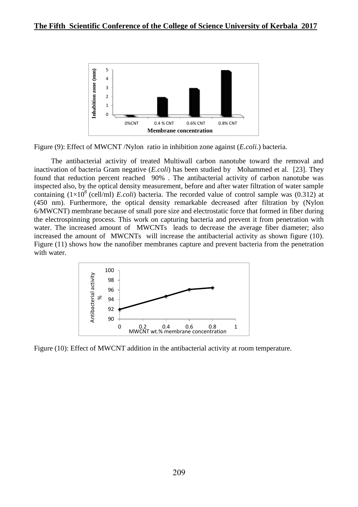

Figure (9): Effect of MWCNT /Nylon ratio in inhibition zone against (*E.coli.*) bacteria.

The antibacterial activity of treated Multiwall carbon nanotube toward the removal and inactivation of bacteria Gram negative (*E.coli*) has been studied by Mohammed et al. [23]. They found that reduction percent reached 90% . The antibacterial activity of carbon nanotube was inspected also, by the optical density measurement, before and after water filtration of water sample containing  $(1\times10^8$  (cell/ml) *E.coli*) bacteria. The recorded value of control sample was  $(0.312)$  at (450 nm). Furthermore, the optical density remarkable decreased after filtration by (Nylon 6/MWCNT) membrane because of small pore size and electrostatic force that formed in fiber during the electrospinning process. This work on capturing bacteria and prevent it from penetration with water. The increased amount of MWCNTs leads to decrease the average fiber diameter; also increased the amount of MWCNTs will increase the antibacterial activity as shown figure (10). Figure (11) shows how the nanofiber membranes capture and prevent bacteria from the penetration with water.



Figure (10): Effect of MWCNT addition in the antibacterial activity at room temperature.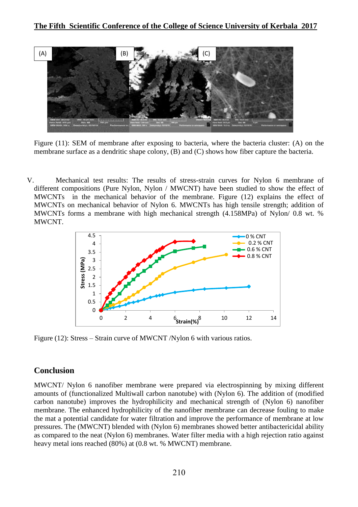

Figure (11): SEM of membrane after exposing to bacteria, where the bacteria cluster: (A) on the membrane surface as a dendritic shape colony, (B) and (C) shows how fiber capture the bacteria.

V. Mechanical test results: The results of stress-strain curves for Nylon 6 membrane of different compositions (Pure Nylon, Nylon / MWCNT) have been studied to show the effect of MWCNTs in the mechanical behavior of the membrane. Figure (12) explains the effect of MWCNTs on mechanical behavior of Nylon 6. MWCNTs has high tensile strength; addition of MWCNTs forms a membrane with high mechanical strength (4.158MPa) of Nylon/ 0.8 wt. % MWCNT.



Figure (12): Stress – Strain curve of MWCNT /Nylon 6 with various ratios.

# **Conclusion**

MWCNT/ Nylon 6 nanofiber membrane were prepared via electrospinning by mixing different amounts of (functionalized Multiwall carbon nanotube) with (Nylon 6). The addition of (modified carbon nanotube) improves the hydrophilicity and mechanical strength of (Nylon 6) nanofiber membrane. The enhanced hydrophilicity of the nanofiber membrane can decrease fouling to make the mat a potential candidate for water filtration and improve the performance of membrane at low pressures. The (MWCNT) blended with (Nylon 6) membranes showed better antibactericidal ability as compared to the neat (Nylon 6) membranes. Water filter media with a high rejection ratio against heavy metal ions reached (80%) at (0.8 wt. % MWCNT) membrane.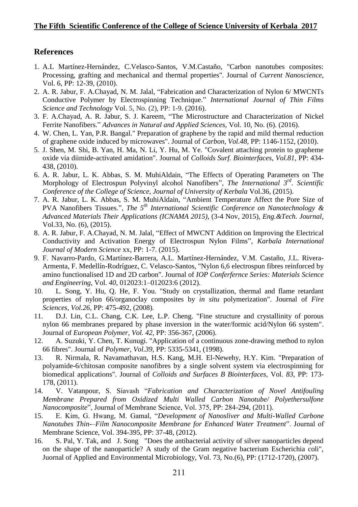## **References**

- 1. A.L Martínez-Hernández, C.Velasco-Santos, V.M.Castaño, "Carbon nanotubes composites: Processing, grafting and mechanical and thermal properties". Journal of *Current Nanoscience*, Vol. 6, PP: 12-39, (2010).
- 2. A. R. Jabur, F. A.Chayad, N. M. Jalal, "Fabrication and Characterization of Nylon 6/ MWCNTs Conductive Polymer by Electrospinning Technique." *International Journal of Thin Films Science and Technology* Vol. 5, No. (2), PP: 1-9. (2016).
- 3. F. A.Chayad, A. R. Jabur, S. J. Kareem, "The Microstructure and Characterization of Nickel Ferrite Nanofibers." *Advances in Natural and Applied Sciences,* Vol. 10, No. (6). (2016).
- 4. W. Chen, L. Yan, P.R. Bangal." Preparation of graphene by the rapid and mild thermal reduction of graphene oxide induced by microwaves". Journal of *Carbon*, *Vol.48*, PP: 1146-1152, (2010).
- 5. J. Shen, M. Shi, B. Yan, H. Ma, N. Li, Y. Hu, M. Ye. "Covalent attaching protein to grapheme oxide via diimide-activated amidation". Journal of *Colloids Surf. Biointerfaces*, *Vol.81*, PP: 434- 438, (2010).
- 6. A. R. Jabur, L. K. Abbas, S. M. MuhiAldain, "The Effects of Operating Parameters on The Morphology of Electrospun Polyvinyl alcohol Nanofibers", *The International 3rd. Scientific Conference of the College of Science*, *Journal of University of Kerbala* Vol.36, (2015).
- 7. A. R. Jabur, L. K. Abbas, S. M. MuhiAldain, "Ambient Temperature Affect the Pore Size of PVA Nanofibers Tissues.", *The 5th International Scientific Conference on Nanotechnology & Advanced Materials Their Applications (ICNAMA 2015)*, (3-4 Nov, 2015), *Eng.&Tech. Journal*, Vol.33, No. (6), (2015).
- 8. A. R. Jabur, F. A.Chayad, N. M. Jalal, "Effect of MWCNT Addition on Improving the Electrical Conductivity and Activation Energy of Electrospun Nylon Films", *Karbala International Journal of Modern Science* xx, PP: 1-7. (2015).
- 9. F. Navarro-Pardo, G.Martínez-Barrera, A.L. Martínez-Hernández, V.M. Castaño, J.L. Rivera-Armenta, F. Medellín-Rodríguez, C. Velasco-Santos, "Nylon 6,6 electrospun fibres reinforced by amino functionalised 1D and 2D carbon". Journal of *IOP Conferfernce Series: Materials Science and Engineering*, Vol. *40*, 012023:1–012023:6 (2012).
- 10. L. Song, Y. Hu, Q. He, F. You. "Study on crystallization, thermal and flame retardant properties of nylon 66/organoclay composites by *in situ* polymerization". Journal of *Fire Sciences*, *Vol.26*, PP: 475-492, (2008).
- 11. D.J. Lin, C.L. Chang, C.K. Lee, L.P. Cheng. "Fine structure and crystallinity of porous nylon 66 membranes prepared by phase inversion in the water/formic acid/Nylon 66 system". Journal of *European Polymer*, *Vol. 42*, PP: 356-367, (2006).
- 12. A. Suzuki, Y. Chen, T. Kunugi. "Application of a continuous zone-drawing method to nylon 66 fibres". Journal of *Polymer*, *Vol.39*, PP: 5335-5341, (1998).
- 13. R. Nirmala, R. Navamathavan, H.S. Kang, M.H. El-Newehy, H.Y. Kim. "Preparation of polyamide-6/chitosan composite nanofibres by a single solvent system via electrospinning for biomedical applications". Journal of *Colloids and Surfaces B Biointerfaces*, Vol. *83*, PP: 173- 178, (2011).
- 14. V. Vatanpour, S. Siavash "*Fabrication and Characterization of Novel Antifouling Membrane Prepared from Oxidized Multi Walled Carbon Nanotube/ Polyethersulfone Nanocomposite*", Journal of Membrane Science, Vol. 375, PP: 284-294, (2011).
- 15. E. Kim, G. Hwang, M. Gamal, "*Development of Nanosliver and Multi-Walled Carbone Nanotubes Thin-–Film Nanocomposite Membrane for Enhanced Water Treatment*". Journal of Membrane Science, Vol. 394-395, PP: 37-48, (2012).
- 16. S. Pal, Y. Tak, and J. Song "Does the antibacterial activity of silver nanoparticles depend on the shape of the nanoparticle? A study of the Gram negative bacterium Escherichia coli", Juornal of Applied and Environmental Microbiology, Vol. 73, No.(6), PP: (1712-1720), (2007).